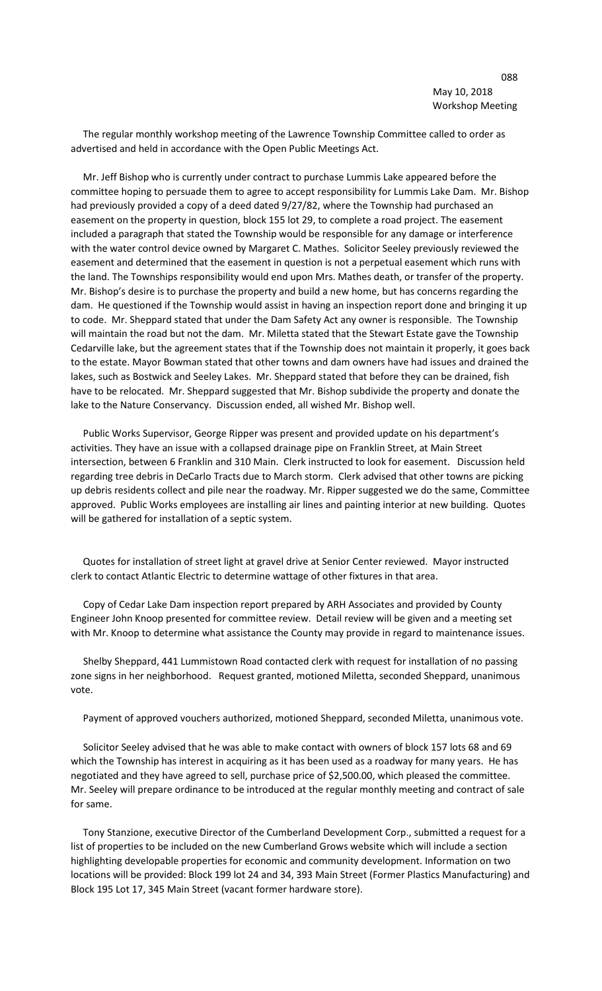The regular monthly workshop meeting of the Lawrence Township Committee called to order as advertised and held in accordance with the Open Public Meetings Act.

 Mr. Jeff Bishop who is currently under contract to purchase Lummis Lake appeared before the committee hoping to persuade them to agree to accept responsibility for Lummis Lake Dam. Mr. Bishop had previously provided a copy of a deed dated 9/27/82, where the Township had purchased an easement on the property in question, block 155 lot 29, to complete a road project. The easement included a paragraph that stated the Township would be responsible for any damage or interference with the water control device owned by Margaret C. Mathes. Solicitor Seeley previously reviewed the easement and determined that the easement in question is not a perpetual easement which runs with the land. The Townships responsibility would end upon Mrs. Mathes death, or transfer of the property. Mr. Bishop's desire is to purchase the property and build a new home, but has concerns regarding the dam. He questioned if the Township would assist in having an inspection report done and bringing it up to code. Mr. Sheppard stated that under the Dam Safety Act any owner is responsible. The Township will maintain the road but not the dam. Mr. Miletta stated that the Stewart Estate gave the Township Cedarville lake, but the agreement states that if the Township does not maintain it properly, it goes back to the estate. Mayor Bowman stated that other towns and dam owners have had issues and drained the lakes, such as Bostwick and Seeley Lakes. Mr. Sheppard stated that before they can be drained, fish have to be relocated. Mr. Sheppard suggested that Mr. Bishop subdivide the property and donate the lake to the Nature Conservancy. Discussion ended, all wished Mr. Bishop well.

 Public Works Supervisor, George Ripper was present and provided update on his department's activities. They have an issue with a collapsed drainage pipe on Franklin Street, at Main Street intersection, between 6 Franklin and 310 Main. Clerk instructed to look for easement. Discussion held regarding tree debris in DeCarlo Tracts due to March storm. Clerk advised that other towns are picking up debris residents collect and pile near the roadway. Mr. Ripper suggested we do the same, Committee approved. Public Works employees are installing air lines and painting interior at new building. Quotes will be gathered for installation of a septic system.

 Quotes for installation of street light at gravel drive at Senior Center reviewed. Mayor instructed clerk to contact Atlantic Electric to determine wattage of other fixtures in that area.

 Copy of Cedar Lake Dam inspection report prepared by ARH Associates and provided by County Engineer John Knoop presented for committee review. Detail review will be given and a meeting set with Mr. Knoop to determine what assistance the County may provide in regard to maintenance issues.

 Shelby Sheppard, 441 Lummistown Road contacted clerk with request for installation of no passing zone signs in her neighborhood. Request granted, motioned Miletta, seconded Sheppard, unanimous vote.

Payment of approved vouchers authorized, motioned Sheppard, seconded Miletta, unanimous vote.

 Solicitor Seeley advised that he was able to make contact with owners of block 157 lots 68 and 69 which the Township has interest in acquiring as it has been used as a roadway for many years. He has negotiated and they have agreed to sell, purchase price of \$2,500.00, which pleased the committee. Mr. Seeley will prepare ordinance to be introduced at the regular monthly meeting and contract of sale for same.

 Tony Stanzione, executive Director of the Cumberland Development Corp., submitted a request for a list of properties to be included on the new Cumberland Grows website which will include a section highlighting developable properties for economic and community development. Information on two locations will be provided: Block 199 lot 24 and 34, 393 Main Street (Former Plastics Manufacturing) and Block 195 Lot 17, 345 Main Street (vacant former hardware store).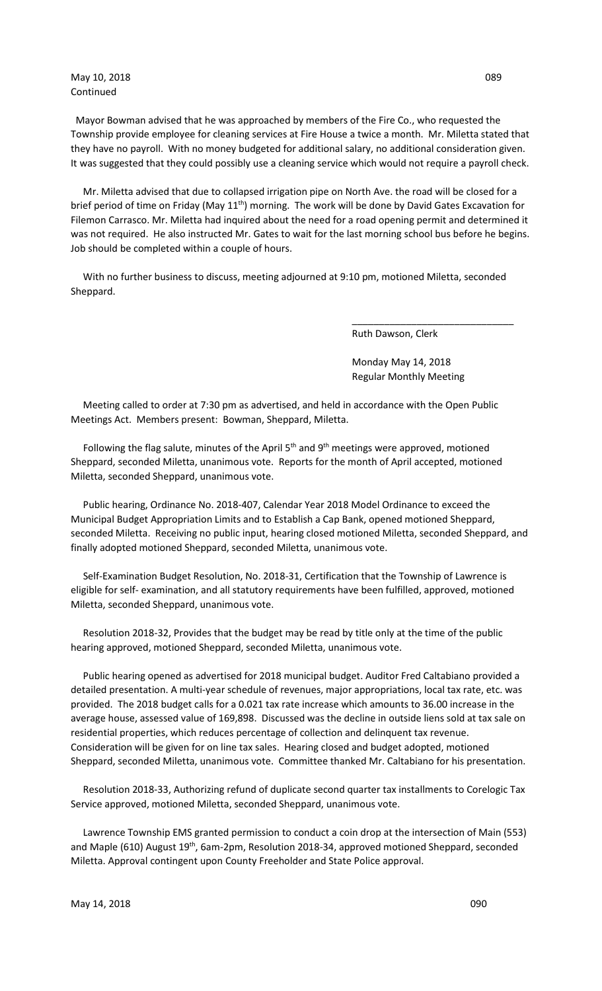## May 10, 2018 089 Continued

 Mayor Bowman advised that he was approached by members of the Fire Co., who requested the Township provide employee for cleaning services at Fire House a twice a month. Mr. Miletta stated that they have no payroll. With no money budgeted for additional salary, no additional consideration given. It was suggested that they could possibly use a cleaning service which would not require a payroll check.

 Mr. Miletta advised that due to collapsed irrigation pipe on North Ave. the road will be closed for a brief period of time on Friday (May 11<sup>th</sup>) morning. The work will be done by David Gates Excavation for Filemon Carrasco. Mr. Miletta had inquired about the need for a road opening permit and determined it was not required. He also instructed Mr. Gates to wait for the last morning school bus before he begins. Job should be completed within a couple of hours.

 With no further business to discuss, meeting adjourned at 9:10 pm, motioned Miletta, seconded Sheppard.

 $\overline{\phantom{a}}$  , and the contract of the contract of the contract of the contract of the contract of the contract of the contract of the contract of the contract of the contract of the contract of the contract of the contrac

Ruth Dawson, Clerk

 Monday May 14, 2018 Regular Monthly Meeting

 Meeting called to order at 7:30 pm as advertised, and held in accordance with the Open Public Meetings Act. Members present: Bowman, Sheppard, Miletta.

Following the flag salute, minutes of the April  $5<sup>th</sup>$  and  $9<sup>th</sup>$  meetings were approved, motioned Sheppard, seconded Miletta, unanimous vote. Reports for the month of April accepted, motioned Miletta, seconded Sheppard, unanimous vote.

 Public hearing, Ordinance No. 2018-407, Calendar Year 2018 Model Ordinance to exceed the Municipal Budget Appropriation Limits and to Establish a Cap Bank, opened motioned Sheppard, seconded Miletta. Receiving no public input, hearing closed motioned Miletta, seconded Sheppard, and finally adopted motioned Sheppard, seconded Miletta, unanimous vote.

 Self-Examination Budget Resolution, No. 2018-31, Certification that the Township of Lawrence is eligible for self- examination, and all statutory requirements have been fulfilled, approved, motioned Miletta, seconded Sheppard, unanimous vote.

 Resolution 2018-32, Provides that the budget may be read by title only at the time of the public hearing approved, motioned Sheppard, seconded Miletta, unanimous vote.

 Public hearing opened as advertised for 2018 municipal budget. Auditor Fred Caltabiano provided a detailed presentation. A multi-year schedule of revenues, major appropriations, local tax rate, etc. was provided. The 2018 budget calls for a 0.021 tax rate increase which amounts to 36.00 increase in the average house, assessed value of 169,898. Discussed was the decline in outside liens sold at tax sale on residential properties, which reduces percentage of collection and delinquent tax revenue. Consideration will be given for on line tax sales. Hearing closed and budget adopted, motioned Sheppard, seconded Miletta, unanimous vote. Committee thanked Mr. Caltabiano for his presentation.

 Resolution 2018-33, Authorizing refund of duplicate second quarter tax installments to Corelogic Tax Service approved, motioned Miletta, seconded Sheppard, unanimous vote.

 Lawrence Township EMS granted permission to conduct a coin drop at the intersection of Main (553) and Maple (610) August 19<sup>th</sup>, 6am-2pm, Resolution 2018-34, approved motioned Sheppard, seconded Miletta. Approval contingent upon County Freeholder and State Police approval.